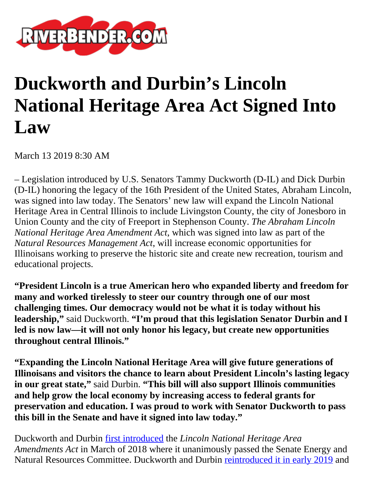

## **Duckworth and Durbin's Lincoln National Heritage Area Act Signed Into Law**

March 13 2019 8:30 AM

– Legislation introduced by U.S. Senators Tammy Duckworth (D-IL) and Dick Durbin (D-IL) honoring the legacy of the 16th President of the United States, Abraham Lincoln, was signed into law today. The Senators' new law will expand the Lincoln National Heritage Area in Central Illinois to include Livingston County, the city of Jonesboro in Union County and the city of Freeport in Stephenson County. *The Abraham Lincoln National Heritage Area Amendment Act*, which was signed into law as part of the *Natural Resources Management Act*, will increase economic opportunities for Illinoisans working to preserve the historic site and create new recreation, tourism and educational projects.

**"President Lincoln is a true American hero who expanded liberty and freedom for many and worked tirelessly to steer our country through one of our most challenging times. Our democracy would not be what it is today without his leadership,"** said Duckworth. **"I'm proud that this legislation Senator Durbin and I led is now law—it will not only honor his legacy, but create new opportunities throughout central Illinois."**

**"Expanding the Lincoln National Heritage Area will give future generations of Illinoisans and visitors the chance to learn about President Lincoln's lasting legacy in our great state,"** said Durbin. **"This bill will also support Illinois communities and help grow the local economy by increasing access to federal grants for preservation and education. I was proud to work with Senator Duckworth to pass this bill in the Senate and have it signed into law today."**

Duckworth and Durbin [first introduced](https://www.duckworth.senate.gov/news/press-releases/duckworth-durbin-bill-to-expand-the-lincoln-national-heritage-area-and-grow-economic-opportunity-advances-in-us-senate) the *Lincoln National Heritage Area Amendments Act* in March of 2018 where it unanimously passed the Senate Energy and Natural Resources Committee. Duckworth and Durbin [reintroduced it in early 2019](https://www.duckworth.senate.gov/news/press-releases/duckworth-and-durbin-re-introduce-bill-to-expand-lincoln-national-heritage-area-create-economic-opportunity-in-central-illinois) and